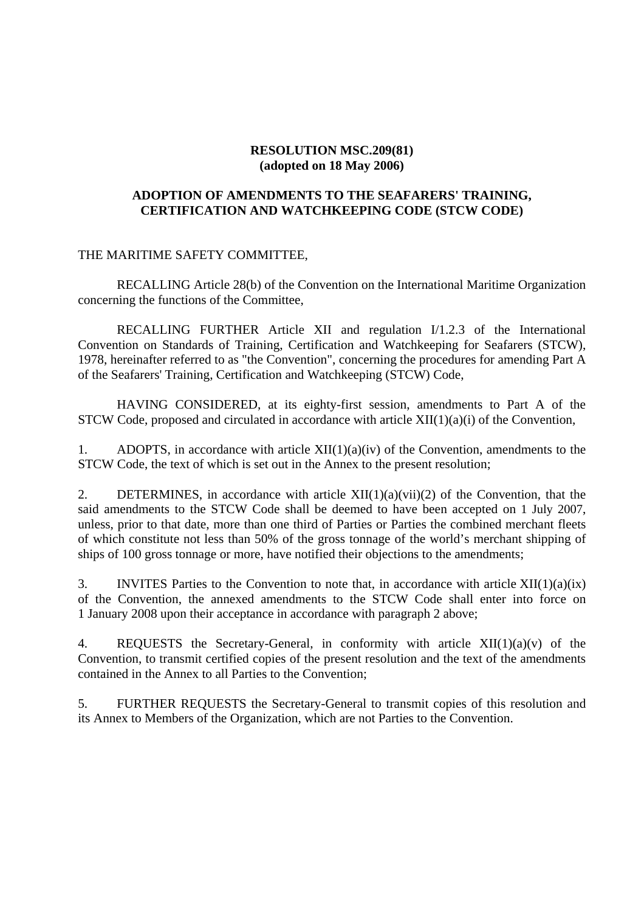### **RESOLUTION MSC.209(81) (adopted on 18 May 2006)**

### **ADOPTION OF AMENDMENTS TO THE SEAFARERS' TRAINING, CERTIFICATION AND WATCHKEEPING CODE (STCW CODE)**

#### THE MARITIME SAFETY COMMITTEE,

RECALLING Article 28(b) of the Convention on the International Maritime Organization concerning the functions of the Committee,

RECALLING FURTHER Article XII and regulation I/1.2.3 of the International Convention on Standards of Training, Certification and Watchkeeping for Seafarers (STCW), 1978, hereinafter referred to as "the Convention", concerning the procedures for amending Part A of the Seafarers' Training, Certification and Watchkeeping (STCW) Code,

HAVING CONSIDERED, at its eighty-first session, amendments to Part A of the STCW Code, proposed and circulated in accordance with article XII(1)(a)(i) of the Convention,

1. ADOPTS, in accordance with article  $XII(1)(a)(iv)$  of the Convention, amendments to the STCW Code, the text of which is set out in the Annex to the present resolution;

2. DETERMINES, in accordance with article  $XII(1)(a)(vii)(2)$  of the Convention, that the said amendments to the STCW Code shall be deemed to have been accepted on 1 July 2007, unless, prior to that date, more than one third of Parties or Parties the combined merchant fleets of which constitute not less than 50% of the gross tonnage of the world's merchant shipping of ships of 100 gross tonnage or more, have notified their objections to the amendments;

3. INVITES Parties to the Convention to note that, in accordance with article  $XII(1)(a)(ix)$ of the Convention, the annexed amendments to the STCW Code shall enter into force on 1 January 2008 upon their acceptance in accordance with paragraph 2 above;

4. REQUESTS the Secretary-General, in conformity with article  $XII(1)(a)(v)$  of the Convention, to transmit certified copies of the present resolution and the text of the amendments contained in the Annex to all Parties to the Convention;

5. FURTHER REQUESTS the Secretary-General to transmit copies of this resolution and its Annex to Members of the Organization, which are not Parties to the Convention.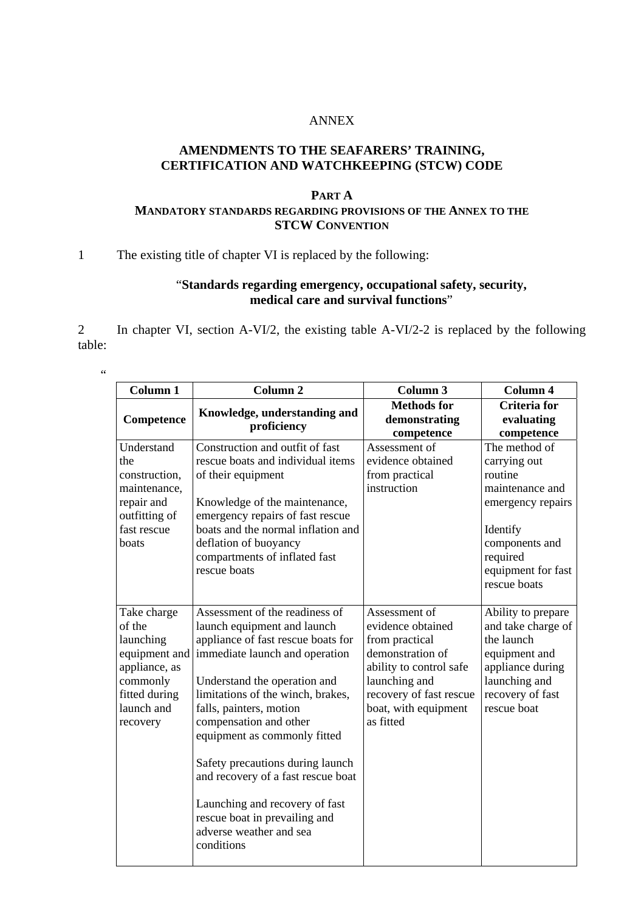### ANNEX

### **AMENDMENTS TO THE SEAFARERS' TRAINING, CERTIFICATION AND WATCHKEEPING (STCW) CODE**

### **PART A MANDATORY STANDARDS REGARDING PROVISIONS OF THE ANNEX TO THE STCW CONVENTION**

### 1 The existing title of chapter VI is replaced by the following:

## "**Standards regarding emergency, occupational safety, security, medical care and survival functions**"

2 In chapter VI, section A-VI/2, the existing table A-VI/2-2 is replaced by the following table:

"

| Column 1                                                                                                                    | Column <sub>2</sub>                                                                                                                                                                                                                                                                                                                                                                                                                                                                   | Column 3                                                                                                                                                                             | Column 4                                                                                                                                                         |
|-----------------------------------------------------------------------------------------------------------------------------|---------------------------------------------------------------------------------------------------------------------------------------------------------------------------------------------------------------------------------------------------------------------------------------------------------------------------------------------------------------------------------------------------------------------------------------------------------------------------------------|--------------------------------------------------------------------------------------------------------------------------------------------------------------------------------------|------------------------------------------------------------------------------------------------------------------------------------------------------------------|
| Competence                                                                                                                  | Knowledge, understanding and<br>proficiency                                                                                                                                                                                                                                                                                                                                                                                                                                           | <b>Methods</b> for<br>demonstrating<br>competence                                                                                                                                    | Criteria for<br>evaluating<br>competence                                                                                                                         |
| Understand<br>the<br>construction,<br>maintenance,<br>repair and<br>outfitting of<br>fast rescue<br>boats                   | Construction and outfit of fast<br>rescue boats and individual items<br>of their equipment<br>Knowledge of the maintenance,<br>emergency repairs of fast rescue<br>boats and the normal inflation and<br>deflation of buoyancy<br>compartments of inflated fast<br>rescue boats                                                                                                                                                                                                       | Assessment of<br>evidence obtained<br>from practical<br>instruction                                                                                                                  | The method of<br>carrying out<br>routine<br>maintenance and<br>emergency repairs<br>Identify<br>components and<br>required<br>equipment for fast<br>rescue boats |
| Take charge<br>of the<br>launching<br>equipment and<br>appliance, as<br>commonly<br>fitted during<br>launch and<br>recovery | Assessment of the readiness of<br>launch equipment and launch<br>appliance of fast rescue boats for<br>immediate launch and operation<br>Understand the operation and<br>limitations of the winch, brakes,<br>falls, painters, motion<br>compensation and other<br>equipment as commonly fitted<br>Safety precautions during launch<br>and recovery of a fast rescue boat<br>Launching and recovery of fast<br>rescue boat in prevailing and<br>adverse weather and sea<br>conditions | Assessment of<br>evidence obtained<br>from practical<br>demonstration of<br>ability to control safe<br>launching and<br>recovery of fast rescue<br>boat, with equipment<br>as fitted | Ability to prepare<br>and take charge of<br>the launch<br>equipment and<br>appliance during<br>launching and<br>recovery of fast<br>rescue boat                  |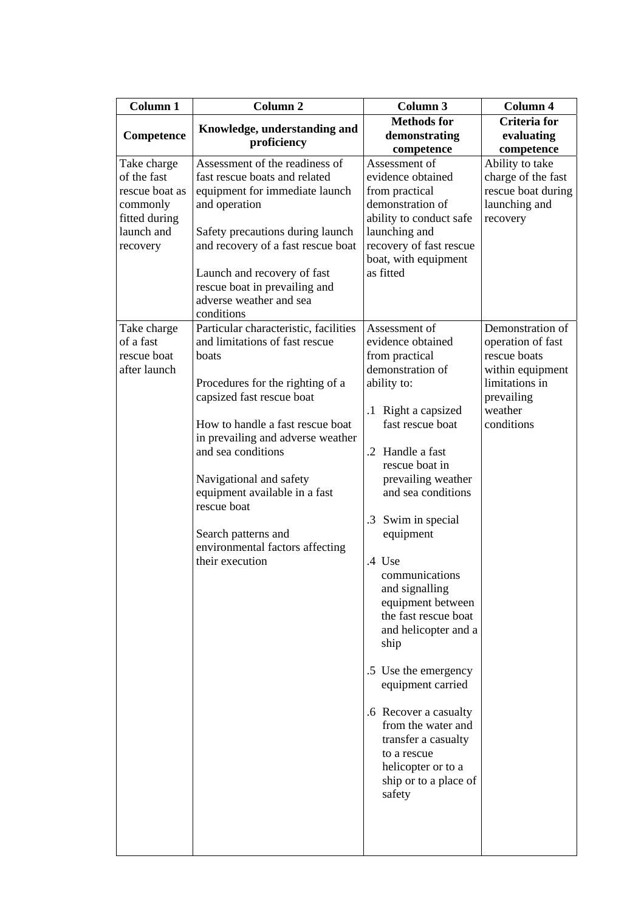| Column 1                    | Column <sub>2</sub>                                                    | Column 3                                        | Column 4              |
|-----------------------------|------------------------------------------------------------------------|-------------------------------------------------|-----------------------|
|                             | Knowledge, understanding and                                           | <b>Methods for</b>                              | <b>Criteria</b> for   |
| Competence                  | proficiency                                                            | demonstrating                                   | evaluating            |
|                             |                                                                        | competence                                      | competence            |
| Take charge                 | Assessment of the readiness of                                         | Assessment of                                   | Ability to take       |
| of the fast                 | fast rescue boats and related                                          | evidence obtained                               | charge of the fast    |
| rescue boat as              | equipment for immediate launch                                         | from practical                                  | rescue boat during    |
| commonly                    | and operation                                                          | demonstration of                                | launching and         |
| fitted during<br>launch and |                                                                        | ability to conduct safe                         | recovery              |
|                             | Safety precautions during launch<br>and recovery of a fast rescue boat | launching and                                   |                       |
| recovery                    |                                                                        | recovery of fast rescue<br>boat, with equipment |                       |
|                             | Launch and recovery of fast                                            | as fitted                                       |                       |
|                             | rescue boat in prevailing and                                          |                                                 |                       |
|                             | adverse weather and sea                                                |                                                 |                       |
|                             | conditions                                                             |                                                 |                       |
| Take charge                 | Particular characteristic, facilities                                  | Assessment of                                   | Demonstration of      |
| of a fast                   | and limitations of fast rescue                                         | evidence obtained                               | operation of fast     |
| rescue boat                 | boats                                                                  | from practical                                  | rescue boats          |
| after launch                |                                                                        | demonstration of                                | within equipment      |
|                             | Procedures for the righting of a                                       | ability to:                                     | limitations in        |
|                             | capsized fast rescue boat                                              |                                                 | prevailing            |
|                             | How to handle a fast rescue boat                                       | .1 Right a capsized<br>fast rescue boat         | weather<br>conditions |
|                             | in prevailing and adverse weather                                      |                                                 |                       |
|                             | and sea conditions                                                     | .2 Handle a fast                                |                       |
|                             |                                                                        | rescue boat in                                  |                       |
|                             | Navigational and safety                                                | prevailing weather                              |                       |
|                             | equipment available in a fast                                          | and sea conditions                              |                       |
|                             | rescue boat                                                            |                                                 |                       |
|                             |                                                                        | .3 Swim in special                              |                       |
|                             | Search patterns and                                                    | equipment                                       |                       |
|                             | environmental factors affecting                                        |                                                 |                       |
|                             | their execution                                                        | .4 Use                                          |                       |
|                             |                                                                        | communications                                  |                       |
|                             |                                                                        | and signalling<br>equipment between             |                       |
|                             |                                                                        | the fast rescue boat                            |                       |
|                             |                                                                        | and helicopter and a                            |                       |
|                             |                                                                        | ship                                            |                       |
|                             |                                                                        |                                                 |                       |
|                             |                                                                        | .5 Use the emergency                            |                       |
|                             |                                                                        | equipment carried                               |                       |
|                             |                                                                        |                                                 |                       |
|                             |                                                                        | .6 Recover a casualty<br>from the water and     |                       |
|                             |                                                                        | transfer a casualty                             |                       |
|                             |                                                                        | to a rescue                                     |                       |
|                             |                                                                        | helicopter or to a                              |                       |
|                             |                                                                        | ship or to a place of                           |                       |
|                             |                                                                        | safety                                          |                       |
|                             |                                                                        |                                                 |                       |
|                             |                                                                        |                                                 |                       |
|                             |                                                                        |                                                 |                       |
|                             |                                                                        |                                                 |                       |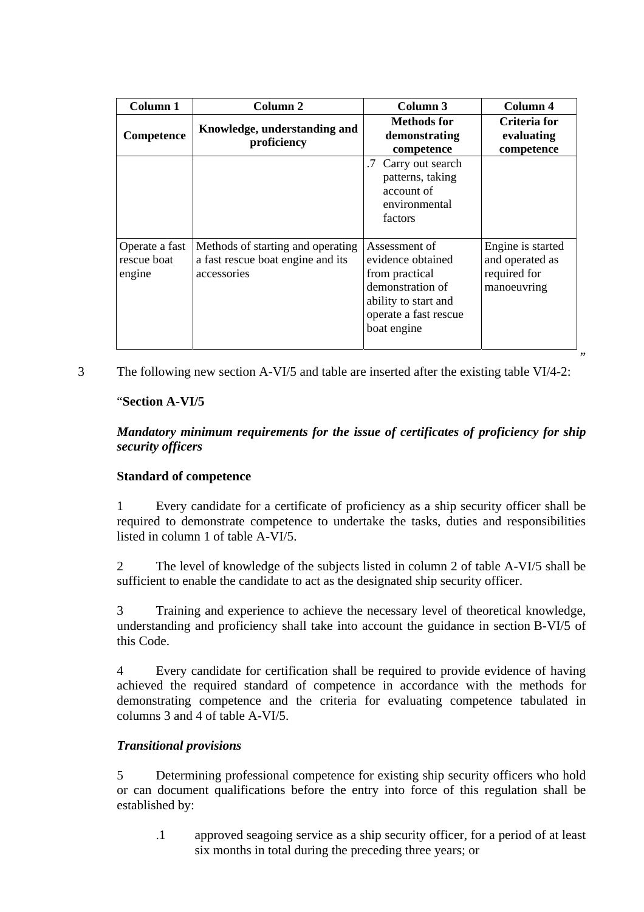| Column 1                                | Column 2                                                                              | Column 3                                                                                                                                 | Column 4                                                            |
|-----------------------------------------|---------------------------------------------------------------------------------------|------------------------------------------------------------------------------------------------------------------------------------------|---------------------------------------------------------------------|
| Competence                              | Knowledge, understanding and<br>proficiency                                           | Methods for<br>demonstrating<br>competence                                                                                               | Criteria for<br>evaluating<br>competence                            |
|                                         |                                                                                       | Carry out search<br>patterns, taking<br>account of<br>environmental<br>factors                                                           |                                                                     |
| Operate a fast<br>rescue boat<br>engine | Methods of starting and operating<br>a fast rescue boat engine and its<br>accessories | Assessment of<br>evidence obtained<br>from practical<br>demonstration of<br>ability to start and<br>operate a fast rescue<br>boat engine | Engine is started<br>and operated as<br>required for<br>manoeuvring |

3 The following new section A-VI/5 and table are inserted after the existing table VI/4-2:

## "**Section A-VI/5**

*Mandatory minimum requirements for the issue of certificates of proficiency for ship security officers* 

"

## **Standard of competence**

1 Every candidate for a certificate of proficiency as a ship security officer shall be required to demonstrate competence to undertake the tasks, duties and responsibilities listed in column 1 of table A-VI/5.

2 The level of knowledge of the subjects listed in column 2 of table A-VI/5 shall be sufficient to enable the candidate to act as the designated ship security officer.

3 Training and experience to achieve the necessary level of theoretical knowledge, understanding and proficiency shall take into account the guidance in section B-VI/5 of this Code.

4 Every candidate for certification shall be required to provide evidence of having achieved the required standard of competence in accordance with the methods for demonstrating competence and the criteria for evaluating competence tabulated in columns 3 and 4 of table A-VI/5.

## *Transitional provisions*

5 Determining professional competence for existing ship security officers who hold or can document qualifications before the entry into force of this regulation shall be established by:

.1 approved seagoing service as a ship security officer, for a period of at least six months in total during the preceding three years; or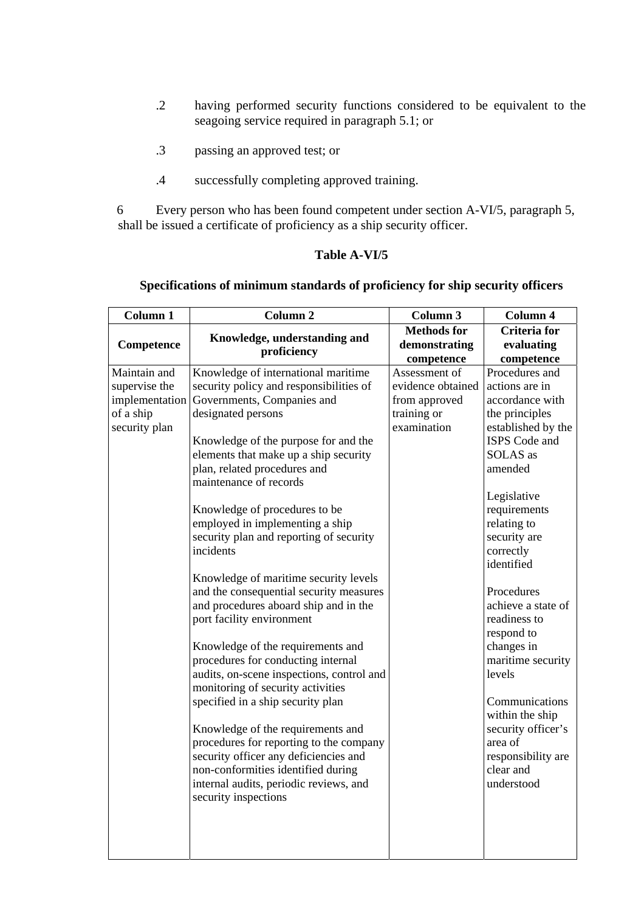- .2 having performed security functions considered to be equivalent to the seagoing service required in paragraph 5.1; or
- .3 passing an approved test; or
- .4 successfully completing approved training.

6 Every person who has been found competent under section A-VI/5, paragraph 5, shall be issued a certificate of proficiency as a ship security officer.

## **Table A-VI/5**

# **Specifications of minimum standards of proficiency for ship security officers**

| Column 1       | <b>Column 2</b>                                        | Column 3                                          | Column 4                                        |
|----------------|--------------------------------------------------------|---------------------------------------------------|-------------------------------------------------|
| Competence     | Knowledge, understanding and<br>proficiency            | <b>Methods</b> for<br>demonstrating<br>competence | <b>Criteria</b> for<br>evaluating<br>competence |
| Maintain and   | Knowledge of international maritime                    | Assessment of                                     | Procedures and                                  |
| supervise the  | security policy and responsibilities of                | evidence obtained                                 | actions are in                                  |
| implementation | Governments, Companies and                             | from approved                                     | accordance with                                 |
| of a ship      | designated persons                                     | training or                                       | the principles                                  |
| security plan  |                                                        | examination                                       | established by the                              |
|                | Knowledge of the purpose for and the                   |                                                   | ISPS Code and                                   |
|                | elements that make up a ship security                  |                                                   | SOLAS as                                        |
|                | plan, related procedures and<br>maintenance of records |                                                   | amended                                         |
|                |                                                        |                                                   | Legislative                                     |
|                | Knowledge of procedures to be                          |                                                   | requirements                                    |
|                | employed in implementing a ship                        |                                                   | relating to                                     |
|                | security plan and reporting of security                |                                                   | security are                                    |
|                | incidents                                              |                                                   | correctly                                       |
|                |                                                        |                                                   | identified                                      |
|                | Knowledge of maritime security levels                  |                                                   |                                                 |
|                | and the consequential security measures                |                                                   | Procedures                                      |
|                | and procedures aboard ship and in the                  |                                                   | achieve a state of                              |
|                | port facility environment                              |                                                   | readiness to                                    |
|                |                                                        |                                                   | respond to                                      |
|                | Knowledge of the requirements and                      |                                                   | changes in                                      |
|                | procedures for conducting internal                     |                                                   | maritime security                               |
|                | audits, on-scene inspections, control and              |                                                   | levels                                          |
|                | monitoring of security activities                      |                                                   |                                                 |
|                | specified in a ship security plan                      |                                                   | Communications                                  |
|                |                                                        |                                                   | within the ship                                 |
|                | Knowledge of the requirements and                      |                                                   | security officer's                              |
|                | procedures for reporting to the company                |                                                   | area of                                         |
|                | security officer any deficiencies and                  |                                                   | responsibility are                              |
|                | non-conformities identified during                     |                                                   | clear and                                       |
|                | internal audits, periodic reviews, and                 |                                                   | understood                                      |
|                | security inspections                                   |                                                   |                                                 |
|                |                                                        |                                                   |                                                 |
|                |                                                        |                                                   |                                                 |
|                |                                                        |                                                   |                                                 |
|                |                                                        |                                                   |                                                 |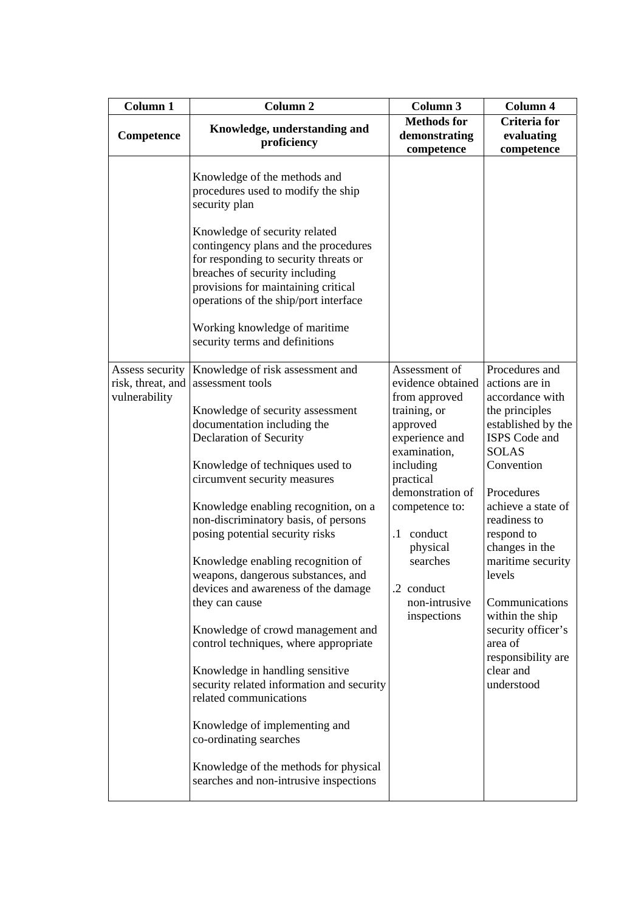| Column 1                                              | Column <sub>2</sub>                                                                                                                                                                                                                                                                                                                                                                                                                                                                                                                                                                                                                                                                                                                                                                                                | Column 3                                                                                                                                                                                                                                                                        | Column 4                                                                                                                                                                                                                                                                                                                                                                             |
|-------------------------------------------------------|--------------------------------------------------------------------------------------------------------------------------------------------------------------------------------------------------------------------------------------------------------------------------------------------------------------------------------------------------------------------------------------------------------------------------------------------------------------------------------------------------------------------------------------------------------------------------------------------------------------------------------------------------------------------------------------------------------------------------------------------------------------------------------------------------------------------|---------------------------------------------------------------------------------------------------------------------------------------------------------------------------------------------------------------------------------------------------------------------------------|--------------------------------------------------------------------------------------------------------------------------------------------------------------------------------------------------------------------------------------------------------------------------------------------------------------------------------------------------------------------------------------|
| Competence                                            | Knowledge, understanding and<br>proficiency                                                                                                                                                                                                                                                                                                                                                                                                                                                                                                                                                                                                                                                                                                                                                                        | <b>Methods</b> for<br>demonstrating<br>competence                                                                                                                                                                                                                               | <b>Criteria for</b><br>evaluating<br>competence                                                                                                                                                                                                                                                                                                                                      |
|                                                       | Knowledge of the methods and<br>procedures used to modify the ship<br>security plan<br>Knowledge of security related<br>contingency plans and the procedures<br>for responding to security threats or<br>breaches of security including<br>provisions for maintaining critical<br>operations of the ship/port interface<br>Working knowledge of maritime<br>security terms and definitions                                                                                                                                                                                                                                                                                                                                                                                                                         |                                                                                                                                                                                                                                                                                 |                                                                                                                                                                                                                                                                                                                                                                                      |
| Assess security<br>risk, threat, and<br>vulnerability | Knowledge of risk assessment and<br>assessment tools<br>Knowledge of security assessment<br>documentation including the<br>Declaration of Security<br>Knowledge of techniques used to<br>circumvent security measures<br>Knowledge enabling recognition, on a<br>non-discriminatory basis, of persons<br>posing potential security risks<br>Knowledge enabling recognition of<br>weapons, dangerous substances, and<br>devices and awareness of the damage<br>they can cause<br>Knowledge of crowd management and<br>control techniques, where appropriate<br>Knowledge in handling sensitive<br>security related information and security<br>related communications<br>Knowledge of implementing and<br>co-ordinating searches<br>Knowledge of the methods for physical<br>searches and non-intrusive inspections | Assessment of<br>evidence obtained<br>from approved<br>training, or<br>approved<br>experience and<br>examination,<br>including<br>practical<br>demonstration of<br>competence to:<br>conduct<br>$\cdot$ 1<br>physical<br>searches<br>.2 conduct<br>non-intrusive<br>inspections | Procedures and<br>actions are in<br>accordance with<br>the principles<br>established by the<br>ISPS Code and<br><b>SOLAS</b><br>Convention<br>Procedures<br>achieve a state of<br>readiness to<br>respond to<br>changes in the<br>maritime security<br>levels<br>Communications<br>within the ship<br>security officer's<br>area of<br>responsibility are<br>clear and<br>understood |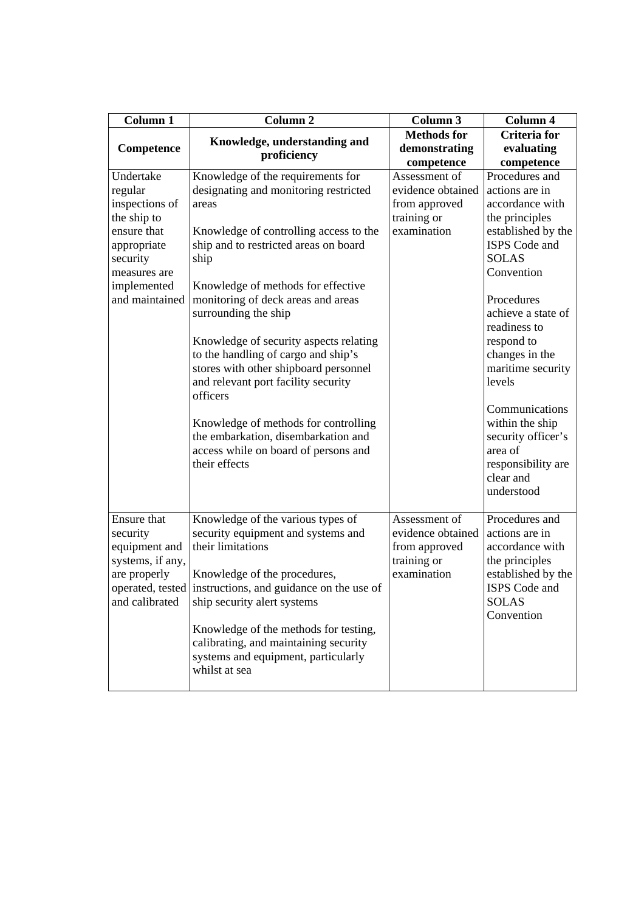| <b>Column 1</b>                                                                                                                                  | Column <sub>2</sub>                                                                                                                                                                                                                                                                                                                                                                                                                                                                                                                                                                                     | Column 3                                                                          | Column 4                                                                                                                                                                                                                                                                                                                                                               |
|--------------------------------------------------------------------------------------------------------------------------------------------------|---------------------------------------------------------------------------------------------------------------------------------------------------------------------------------------------------------------------------------------------------------------------------------------------------------------------------------------------------------------------------------------------------------------------------------------------------------------------------------------------------------------------------------------------------------------------------------------------------------|-----------------------------------------------------------------------------------|------------------------------------------------------------------------------------------------------------------------------------------------------------------------------------------------------------------------------------------------------------------------------------------------------------------------------------------------------------------------|
| Competence                                                                                                                                       | Knowledge, understanding and                                                                                                                                                                                                                                                                                                                                                                                                                                                                                                                                                                            | <b>Methods</b> for<br>demonstrating                                               | <b>Criteria</b> for<br>evaluating                                                                                                                                                                                                                                                                                                                                      |
|                                                                                                                                                  | proficiency                                                                                                                                                                                                                                                                                                                                                                                                                                                                                                                                                                                             | competence                                                                        | competence                                                                                                                                                                                                                                                                                                                                                             |
| Undertake<br>regular<br>inspections of<br>the ship to<br>ensure that<br>appropriate<br>security<br>measures are<br>implemented<br>and maintained | Knowledge of the requirements for<br>designating and monitoring restricted<br>areas<br>Knowledge of controlling access to the<br>ship and to restricted areas on board<br>ship<br>Knowledge of methods for effective<br>monitoring of deck areas and areas<br>surrounding the ship<br>Knowledge of security aspects relating<br>to the handling of cargo and ship's<br>stores with other shipboard personnel<br>and relevant port facility security<br>officers<br>Knowledge of methods for controlling<br>the embarkation, disembarkation and<br>access while on board of persons and<br>their effects | Assessment of<br>evidence obtained<br>from approved<br>training or<br>examination | Procedures and<br>actions are in<br>accordance with<br>the principles<br>established by the<br>ISPS Code and<br><b>SOLAS</b><br>Convention<br>Procedures<br>achieve a state of<br>readiness to<br>respond to<br>changes in the<br>maritime security<br>levels<br>Communications<br>within the ship<br>security officer's<br>area of<br>responsibility are<br>clear and |
| Ensure that<br>security<br>equipment and<br>systems, if any,<br>are properly<br>operated, tested<br>and calibrated                               | Knowledge of the various types of<br>security equipment and systems and<br>their limitations<br>Knowledge of the procedures,<br>instructions, and guidance on the use of<br>ship security alert systems<br>Knowledge of the methods for testing,<br>calibrating, and maintaining security<br>systems and equipment, particularly<br>whilst at sea                                                                                                                                                                                                                                                       | Assessment of<br>evidence obtained<br>from approved<br>training or<br>examination | understood<br>Procedures and<br>actions are in<br>accordance with<br>the principles<br>established by the<br>ISPS Code and<br><b>SOLAS</b><br>Convention                                                                                                                                                                                                               |